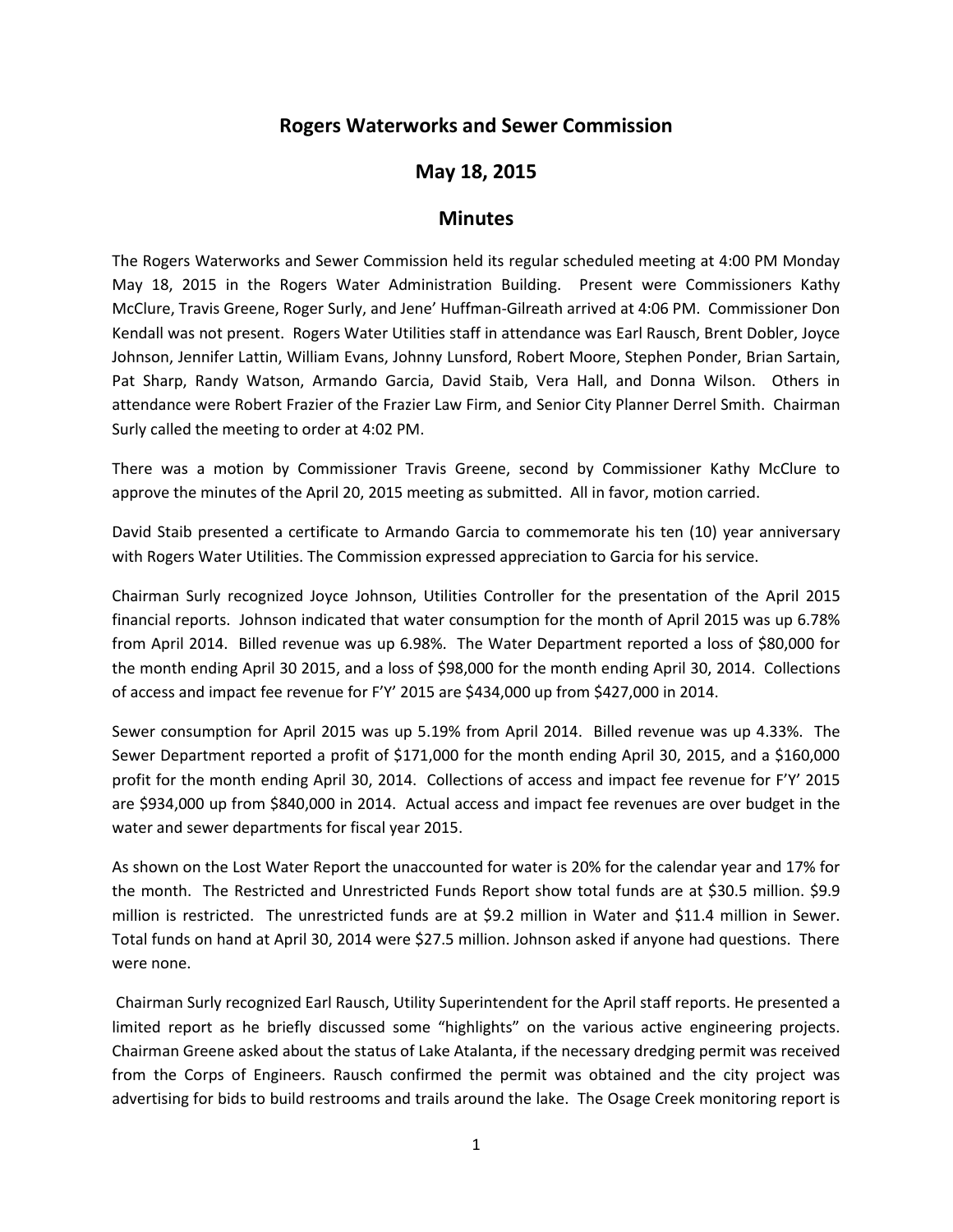## **Rogers Waterworks and Sewer Commission**

## **May 18, 2015**

## **Minutes**

The Rogers Waterworks and Sewer Commission held its regular scheduled meeting at 4:00 PM Monday May 18, 2015 in the Rogers Water Administration Building. Present were Commissioners Kathy McClure, Travis Greene, Roger Surly, and Jene' Huffman-Gilreath arrived at 4:06 PM. Commissioner Don Kendall was not present. Rogers Water Utilities staff in attendance was Earl Rausch, Brent Dobler, Joyce Johnson, Jennifer Lattin, William Evans, Johnny Lunsford, Robert Moore, Stephen Ponder, Brian Sartain, Pat Sharp, Randy Watson, Armando Garcia, David Staib, Vera Hall, and Donna Wilson. Others in attendance were Robert Frazier of the Frazier Law Firm, and Senior City Planner Derrel Smith. Chairman Surly called the meeting to order at 4:02 PM.

There was a motion by Commissioner Travis Greene, second by Commissioner Kathy McClure to approve the minutes of the April 20, 2015 meeting as submitted. All in favor, motion carried.

David Staib presented a certificate to Armando Garcia to commemorate his ten (10) year anniversary with Rogers Water Utilities. The Commission expressed appreciation to Garcia for his service.

Chairman Surly recognized Joyce Johnson, Utilities Controller for the presentation of the April 2015 financial reports. Johnson indicated that water consumption for the month of April 2015 was up 6.78% from April 2014. Billed revenue was up 6.98%. The Water Department reported a loss of \$80,000 for the month ending April 30 2015, and a loss of \$98,000 for the month ending April 30, 2014. Collections of access and impact fee revenue for F'Y' 2015 are \$434,000 up from \$427,000 in 2014.

Sewer consumption for April 2015 was up 5.19% from April 2014. Billed revenue was up 4.33%. The Sewer Department reported a profit of \$171,000 for the month ending April 30, 2015, and a \$160,000 profit for the month ending April 30, 2014. Collections of access and impact fee revenue for F'Y' 2015 are \$934,000 up from \$840,000 in 2014. Actual access and impact fee revenues are over budget in the water and sewer departments for fiscal year 2015.

As shown on the Lost Water Report the unaccounted for water is 20% for the calendar year and 17% for the month. The Restricted and Unrestricted Funds Report show total funds are at \$30.5 million. \$9.9 million is restricted. The unrestricted funds are at \$9.2 million in Water and \$11.4 million in Sewer. Total funds on hand at April 30, 2014 were \$27.5 million. Johnson asked if anyone had questions. There were none.

Chairman Surly recognized Earl Rausch, Utility Superintendent for the April staff reports. He presented a limited report as he briefly discussed some "highlights" on the various active engineering projects. Chairman Greene asked about the status of Lake Atalanta, if the necessary dredging permit was received from the Corps of Engineers. Rausch confirmed the permit was obtained and the city project was advertising for bids to build restrooms and trails around the lake. The Osage Creek monitoring report is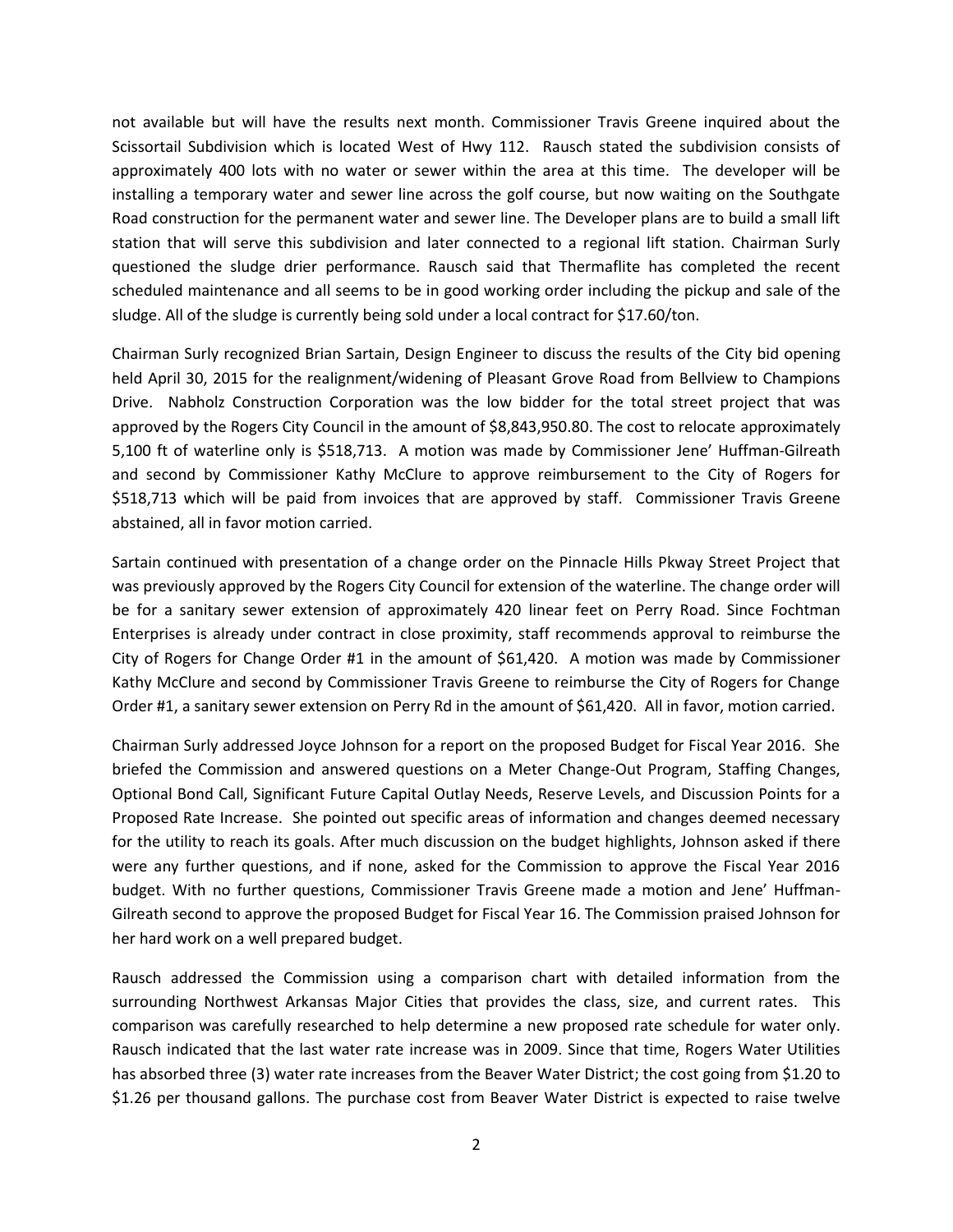not available but will have the results next month. Commissioner Travis Greene inquired about the Scissortail Subdivision which is located West of Hwy 112. Rausch stated the subdivision consists of approximately 400 lots with no water or sewer within the area at this time. The developer will be installing a temporary water and sewer line across the golf course, but now waiting on the Southgate Road construction for the permanent water and sewer line. The Developer plans are to build a small lift station that will serve this subdivision and later connected to a regional lift station. Chairman Surly questioned the sludge drier performance. Rausch said that Thermaflite has completed the recent scheduled maintenance and all seems to be in good working order including the pickup and sale of the sludge. All of the sludge is currently being sold under a local contract for \$17.60/ton.

Chairman Surly recognized Brian Sartain, Design Engineer to discuss the results of the City bid opening held April 30, 2015 for the realignment/widening of Pleasant Grove Road from Bellview to Champions Drive. Nabholz Construction Corporation was the low bidder for the total street project that was approved by the Rogers City Council in the amount of \$8,843,950.80. The cost to relocate approximately 5,100 ft of waterline only is \$518,713. A motion was made by Commissioner Jene' Huffman-Gilreath and second by Commissioner Kathy McClure to approve reimbursement to the City of Rogers for \$518,713 which will be paid from invoices that are approved by staff. Commissioner Travis Greene abstained, all in favor motion carried.

Sartain continued with presentation of a change order on the Pinnacle Hills Pkway Street Project that was previously approved by the Rogers City Council for extension of the waterline. The change order will be for a sanitary sewer extension of approximately 420 linear feet on Perry Road. Since Fochtman Enterprises is already under contract in close proximity, staff recommends approval to reimburse the City of Rogers for Change Order #1 in the amount of \$61,420. A motion was made by Commissioner Kathy McClure and second by Commissioner Travis Greene to reimburse the City of Rogers for Change Order #1, a sanitary sewer extension on Perry Rd in the amount of \$61,420. All in favor, motion carried.

Chairman Surly addressed Joyce Johnson for a report on the proposed Budget for Fiscal Year 2016. She briefed the Commission and answered questions on a Meter Change-Out Program, Staffing Changes, Optional Bond Call, Significant Future Capital Outlay Needs, Reserve Levels, and Discussion Points for a Proposed Rate Increase. She pointed out specific areas of information and changes deemed necessary for the utility to reach its goals. After much discussion on the budget highlights, Johnson asked if there were any further questions, and if none, asked for the Commission to approve the Fiscal Year 2016 budget. With no further questions, Commissioner Travis Greene made a motion and Jene' Huffman-Gilreath second to approve the proposed Budget for Fiscal Year 16. The Commission praised Johnson for her hard work on a well prepared budget.

Rausch addressed the Commission using a comparison chart with detailed information from the surrounding Northwest Arkansas Major Cities that provides the class, size, and current rates. This comparison was carefully researched to help determine a new proposed rate schedule for water only. Rausch indicated that the last water rate increase was in 2009. Since that time, Rogers Water Utilities has absorbed three (3) water rate increases from the Beaver Water District; the cost going from \$1.20 to \$1.26 per thousand gallons. The purchase cost from Beaver Water District is expected to raise twelve